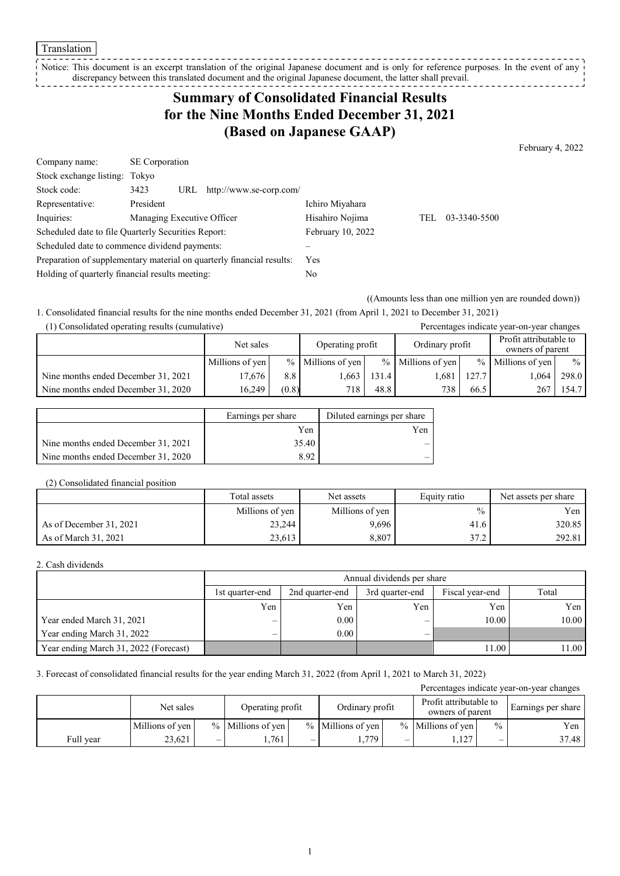#### Translation

Notice: This document is an excerpt translation of the original Japanese document and is only for reference purposes. In the event of any discrepancy between this translated document and the original Japanese document, the latter shall prevail. -------------

# **Summary of Consolidated Financial Results for the Nine Months Ended December 31, 2021 (Based on Japanese GAAP)**

February 4, 2022

| Company name:                                                         | <b>SE</b> Corporation      |     |                         |                   |     |              |
|-----------------------------------------------------------------------|----------------------------|-----|-------------------------|-------------------|-----|--------------|
| Stock exchange listing: Tokyo                                         |                            |     |                         |                   |     |              |
| Stock code:                                                           | 3423                       | URL | http://www.se-corp.com/ |                   |     |              |
| Representative:                                                       | President                  |     |                         | Ichiro Miyahara   |     |              |
| Inquiries:                                                            | Managing Executive Officer |     |                         | Hisahiro Nojima   | TEL | 03-3340-5500 |
| Scheduled date to file Quarterly Securities Report:                   |                            |     |                         | February 10, 2022 |     |              |
| Scheduled date to commence dividend payments:                         |                            |     |                         |                   |     |              |
| Preparation of supplementary material on quarterly financial results: |                            |     |                         | <b>Yes</b>        |     |              |
| Holding of quarterly financial results meeting:                       |                            |     |                         | No                |     |              |

((Amounts less than one million yen are rounded down))

1. Consolidated financial results for the nine months ended December 31, 2021 (from April 1, 2021 to December 31, 2021)

| (1) Consolidated operating results (cumulative) |                 |       | Percentages indicate year-on-year changes |       |                     |       |                                            |       |
|-------------------------------------------------|-----------------|-------|-------------------------------------------|-------|---------------------|-------|--------------------------------------------|-------|
|                                                 | Net sales       |       | Operating profit                          |       | Ordinary profit     |       | Profit attributable to<br>owners of parent |       |
|                                                 | Millions of yen |       | $%$ Millions of yen                       |       | $%$ Millions of yen |       | $%$ Millions of yen                        | $\%$  |
| Nine months ended December 31, 2021             | 17.676          | 8.8   | .663                                      | 131.4 | .681                | 127.7 | 1.064                                      | 298.0 |
| Nine months ended December 31, 2020             | 16.249          | (0.8) | 718                                       | 48.8  | 738                 | 66.5  | 267                                        | 154.7 |

|                                     | Earnings per share | Diluted earnings per share |
|-------------------------------------|--------------------|----------------------------|
|                                     | Yen                | Yen                        |
| Nine months ended December 31, 2021 | 35.40              |                            |
| Nine months ended December 31, 2020 | 8.92               |                            |

#### (2) Consolidated financial position

|                         | Total assets    | Net assets      | Equity ratio  | Net assets per share |
|-------------------------|-----------------|-----------------|---------------|----------------------|
|                         | Millions of yen | Millions of yen | $\frac{0}{0}$ | Yen                  |
| As of December 31, 2021 | 23,244          | 9,696           | 41.6          | 320.85               |
| As of March 31, 2021    | 23,613          | 8,807           | 37.2          | 292.81               |

### 2. Cash dividends

|                                       |                 | Annual dividends per share |     |       |       |  |  |  |  |
|---------------------------------------|-----------------|----------------------------|-----|-------|-------|--|--|--|--|
|                                       | 1st quarter-end | Total                      |     |       |       |  |  |  |  |
|                                       | Yen             | Yen                        | Yen | Yen   | Yen   |  |  |  |  |
| Year ended March 31, 2021             | –               | 0.00                       |     | 10.00 | 10.00 |  |  |  |  |
| Year ending March 31, 2022            | –               | 0.00                       |     |       |       |  |  |  |  |
| Year ending March 31, 2022 (Forecast) |                 |                            |     | 11.00 | 11.00 |  |  |  |  |

### 3. Forecast of consolidated financial results for the year ending March 31, 2022 (from April 1, 2021 to March 31, 2022)

| Percentages indicate year-on-year changes |                 |                          |                     |   |                     |   |                                            |                          |                    |
|-------------------------------------------|-----------------|--------------------------|---------------------|---|---------------------|---|--------------------------------------------|--------------------------|--------------------|
|                                           | Net sales       |                          | Operating profit    |   | Ordinary profit     |   | Profit attributable to<br>owners of parent |                          | Earnings per share |
|                                           | Millions of yen |                          | $%$ Millions of yen |   | $%$ Millions of yen |   | $%$ Millions of ven                        | $\frac{0}{0}$            | Yen                |
| Full vear                                 | 23,621          | $\overline{\phantom{0}}$ | .761                | – | .,779               | – | .,127                                      | $\overline{\phantom{0}}$ | 37.48              |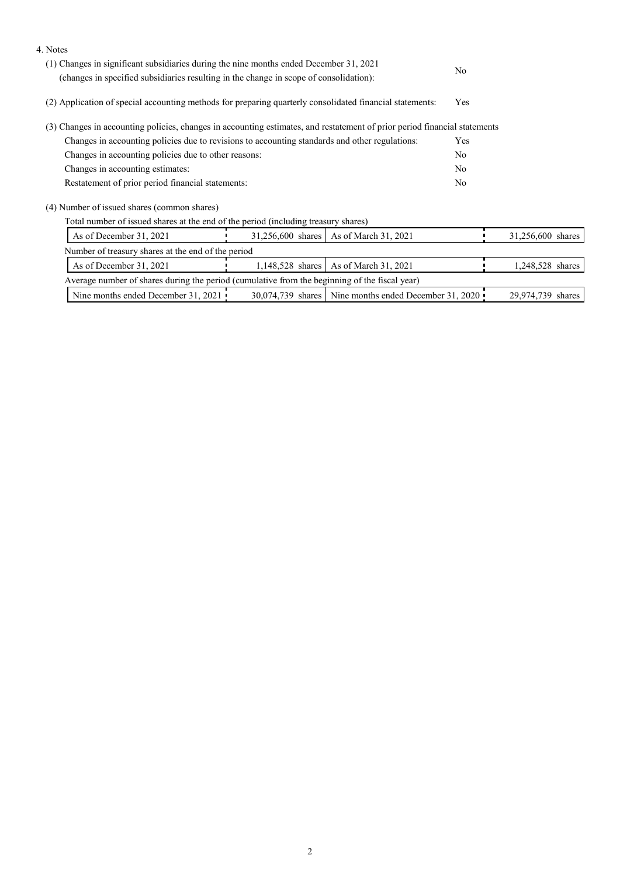| 4. Notes                                                                                                                                                                         |                  |                                                         |                   |
|----------------------------------------------------------------------------------------------------------------------------------------------------------------------------------|------------------|---------------------------------------------------------|-------------------|
| (1) Changes in significant subsidiaries during the nine months ended December 31, 2021<br>(changes in specified subsidiaries resulting in the change in scope of consolidation): | N <sub>o</sub>   |                                                         |                   |
| (2) Application of special accounting methods for preparing quarterly consolidated financial statements:                                                                         | Yes              |                                                         |                   |
| (3) Changes in accounting policies, changes in accounting estimates, and restatement of prior period financial statements                                                        |                  |                                                         |                   |
| Changes in accounting policies due to revisions to accounting standards and other regulations:                                                                                   | Yes              |                                                         |                   |
| Changes in accounting policies due to other reasons:                                                                                                                             | N <sub>o</sub>   |                                                         |                   |
| Changes in accounting estimates:                                                                                                                                                 | N <sub>o</sub>   |                                                         |                   |
| Restatement of prior period financial statements:                                                                                                                                | No               |                                                         |                   |
| (4) Number of issued shares (common shares)                                                                                                                                      |                  |                                                         |                   |
| Total number of issued shares at the end of the period (including treasury shares)                                                                                               |                  |                                                         |                   |
| As of December 31, 2021                                                                                                                                                          |                  | 31,256,600 shares   As of March 31, 2021                | 31,256,600 shares |
| Number of treasury shares at the end of the period                                                                                                                               |                  |                                                         |                   |
| As of December 31, 2021                                                                                                                                                          | 1,148,528 shares | As of March 31, 2021                                    | 1,248,528 shares  |
| Average number of shares during the period (cumulative from the beginning of the fiscal year)                                                                                    |                  |                                                         |                   |
| Nine months ended December 31, 2021                                                                                                                                              |                  | 30,074,739 shares   Nine months ended December 31, 2020 | 29,974,739 shares |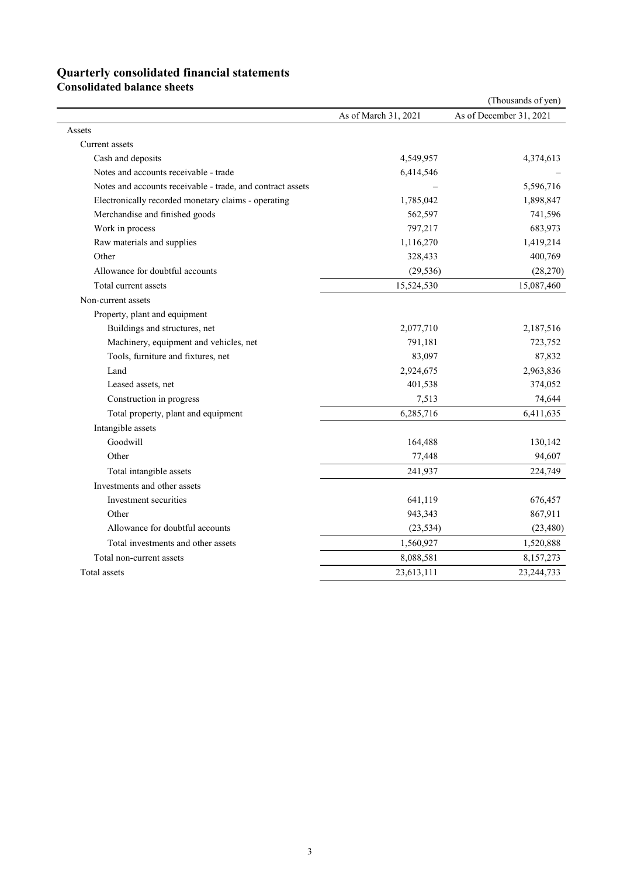## **Quarterly consolidated financial statements**

**Consolidated balance sheets** 

| As of December 31, 2021<br>As of March 31, 2021<br>Assets<br>Current assets<br>Cash and deposits<br>4,549,957<br>4,374,613<br>Notes and accounts receivable - trade<br>6,414,546<br>Notes and accounts receivable - trade, and contract assets<br>5,596,716<br>Electronically recorded monetary claims - operating<br>1,785,042<br>1,898,847<br>Merchandise and finished goods<br>562,597<br>741,596<br>Work in process<br>797,217<br>683,973<br>Raw materials and supplies<br>1,116,270<br>1,419,214<br>Other<br>328,433<br>400,769<br>Allowance for doubtful accounts<br>(29, 536)<br>(28, 270)<br>15,524,530<br>Total current assets<br>15,087,460<br>Non-current assets<br>Property, plant and equipment<br>Buildings and structures, net<br>2,077,710<br>2,187,516<br>Machinery, equipment and vehicles, net<br>791,181<br>723,752<br>Tools, furniture and fixtures, net<br>83,097<br>87,832<br>Land<br>2,924,675<br>2,963,836<br>Leased assets, net<br>401,538<br>374,052<br>74,644<br>Construction in progress<br>7,513<br>6,285,716<br>Total property, plant and equipment<br>6,411,635<br>Intangible assets<br>Goodwill<br>164,488<br>130,142<br>Other<br>94,607<br>77,448<br>Total intangible assets<br>241,937<br>224,749<br>Investments and other assets<br>Investment securities<br>641,119<br>676,457<br>Other<br>943,343<br>867,911<br>Allowance for doubtful accounts<br>(23, 534)<br>(23, 480)<br>Total investments and other assets<br>1,560,927<br>1,520,888<br>Total non-current assets<br>8,088,581<br>8,157,273 |              |            | (Thousands of yen) |
|---------------------------------------------------------------------------------------------------------------------------------------------------------------------------------------------------------------------------------------------------------------------------------------------------------------------------------------------------------------------------------------------------------------------------------------------------------------------------------------------------------------------------------------------------------------------------------------------------------------------------------------------------------------------------------------------------------------------------------------------------------------------------------------------------------------------------------------------------------------------------------------------------------------------------------------------------------------------------------------------------------------------------------------------------------------------------------------------------------------------------------------------------------------------------------------------------------------------------------------------------------------------------------------------------------------------------------------------------------------------------------------------------------------------------------------------------------------------------------------------------------------------------------------|--------------|------------|--------------------|
|                                                                                                                                                                                                                                                                                                                                                                                                                                                                                                                                                                                                                                                                                                                                                                                                                                                                                                                                                                                                                                                                                                                                                                                                                                                                                                                                                                                                                                                                                                                                       |              |            |                    |
|                                                                                                                                                                                                                                                                                                                                                                                                                                                                                                                                                                                                                                                                                                                                                                                                                                                                                                                                                                                                                                                                                                                                                                                                                                                                                                                                                                                                                                                                                                                                       |              |            |                    |
|                                                                                                                                                                                                                                                                                                                                                                                                                                                                                                                                                                                                                                                                                                                                                                                                                                                                                                                                                                                                                                                                                                                                                                                                                                                                                                                                                                                                                                                                                                                                       |              |            |                    |
|                                                                                                                                                                                                                                                                                                                                                                                                                                                                                                                                                                                                                                                                                                                                                                                                                                                                                                                                                                                                                                                                                                                                                                                                                                                                                                                                                                                                                                                                                                                                       |              |            |                    |
|                                                                                                                                                                                                                                                                                                                                                                                                                                                                                                                                                                                                                                                                                                                                                                                                                                                                                                                                                                                                                                                                                                                                                                                                                                                                                                                                                                                                                                                                                                                                       |              |            |                    |
|                                                                                                                                                                                                                                                                                                                                                                                                                                                                                                                                                                                                                                                                                                                                                                                                                                                                                                                                                                                                                                                                                                                                                                                                                                                                                                                                                                                                                                                                                                                                       |              |            |                    |
|                                                                                                                                                                                                                                                                                                                                                                                                                                                                                                                                                                                                                                                                                                                                                                                                                                                                                                                                                                                                                                                                                                                                                                                                                                                                                                                                                                                                                                                                                                                                       |              |            |                    |
|                                                                                                                                                                                                                                                                                                                                                                                                                                                                                                                                                                                                                                                                                                                                                                                                                                                                                                                                                                                                                                                                                                                                                                                                                                                                                                                                                                                                                                                                                                                                       |              |            |                    |
|                                                                                                                                                                                                                                                                                                                                                                                                                                                                                                                                                                                                                                                                                                                                                                                                                                                                                                                                                                                                                                                                                                                                                                                                                                                                                                                                                                                                                                                                                                                                       |              |            |                    |
|                                                                                                                                                                                                                                                                                                                                                                                                                                                                                                                                                                                                                                                                                                                                                                                                                                                                                                                                                                                                                                                                                                                                                                                                                                                                                                                                                                                                                                                                                                                                       |              |            |                    |
|                                                                                                                                                                                                                                                                                                                                                                                                                                                                                                                                                                                                                                                                                                                                                                                                                                                                                                                                                                                                                                                                                                                                                                                                                                                                                                                                                                                                                                                                                                                                       |              |            |                    |
|                                                                                                                                                                                                                                                                                                                                                                                                                                                                                                                                                                                                                                                                                                                                                                                                                                                                                                                                                                                                                                                                                                                                                                                                                                                                                                                                                                                                                                                                                                                                       |              |            |                    |
|                                                                                                                                                                                                                                                                                                                                                                                                                                                                                                                                                                                                                                                                                                                                                                                                                                                                                                                                                                                                                                                                                                                                                                                                                                                                                                                                                                                                                                                                                                                                       |              |            |                    |
|                                                                                                                                                                                                                                                                                                                                                                                                                                                                                                                                                                                                                                                                                                                                                                                                                                                                                                                                                                                                                                                                                                                                                                                                                                                                                                                                                                                                                                                                                                                                       |              |            |                    |
|                                                                                                                                                                                                                                                                                                                                                                                                                                                                                                                                                                                                                                                                                                                                                                                                                                                                                                                                                                                                                                                                                                                                                                                                                                                                                                                                                                                                                                                                                                                                       |              |            |                    |
|                                                                                                                                                                                                                                                                                                                                                                                                                                                                                                                                                                                                                                                                                                                                                                                                                                                                                                                                                                                                                                                                                                                                                                                                                                                                                                                                                                                                                                                                                                                                       |              |            |                    |
|                                                                                                                                                                                                                                                                                                                                                                                                                                                                                                                                                                                                                                                                                                                                                                                                                                                                                                                                                                                                                                                                                                                                                                                                                                                                                                                                                                                                                                                                                                                                       |              |            |                    |
|                                                                                                                                                                                                                                                                                                                                                                                                                                                                                                                                                                                                                                                                                                                                                                                                                                                                                                                                                                                                                                                                                                                                                                                                                                                                                                                                                                                                                                                                                                                                       |              |            |                    |
|                                                                                                                                                                                                                                                                                                                                                                                                                                                                                                                                                                                                                                                                                                                                                                                                                                                                                                                                                                                                                                                                                                                                                                                                                                                                                                                                                                                                                                                                                                                                       |              |            |                    |
|                                                                                                                                                                                                                                                                                                                                                                                                                                                                                                                                                                                                                                                                                                                                                                                                                                                                                                                                                                                                                                                                                                                                                                                                                                                                                                                                                                                                                                                                                                                                       |              |            |                    |
|                                                                                                                                                                                                                                                                                                                                                                                                                                                                                                                                                                                                                                                                                                                                                                                                                                                                                                                                                                                                                                                                                                                                                                                                                                                                                                                                                                                                                                                                                                                                       |              |            |                    |
|                                                                                                                                                                                                                                                                                                                                                                                                                                                                                                                                                                                                                                                                                                                                                                                                                                                                                                                                                                                                                                                                                                                                                                                                                                                                                                                                                                                                                                                                                                                                       |              |            |                    |
|                                                                                                                                                                                                                                                                                                                                                                                                                                                                                                                                                                                                                                                                                                                                                                                                                                                                                                                                                                                                                                                                                                                                                                                                                                                                                                                                                                                                                                                                                                                                       |              |            |                    |
|                                                                                                                                                                                                                                                                                                                                                                                                                                                                                                                                                                                                                                                                                                                                                                                                                                                                                                                                                                                                                                                                                                                                                                                                                                                                                                                                                                                                                                                                                                                                       |              |            |                    |
|                                                                                                                                                                                                                                                                                                                                                                                                                                                                                                                                                                                                                                                                                                                                                                                                                                                                                                                                                                                                                                                                                                                                                                                                                                                                                                                                                                                                                                                                                                                                       |              |            |                    |
|                                                                                                                                                                                                                                                                                                                                                                                                                                                                                                                                                                                                                                                                                                                                                                                                                                                                                                                                                                                                                                                                                                                                                                                                                                                                                                                                                                                                                                                                                                                                       |              |            |                    |
|                                                                                                                                                                                                                                                                                                                                                                                                                                                                                                                                                                                                                                                                                                                                                                                                                                                                                                                                                                                                                                                                                                                                                                                                                                                                                                                                                                                                                                                                                                                                       |              |            |                    |
|                                                                                                                                                                                                                                                                                                                                                                                                                                                                                                                                                                                                                                                                                                                                                                                                                                                                                                                                                                                                                                                                                                                                                                                                                                                                                                                                                                                                                                                                                                                                       |              |            |                    |
|                                                                                                                                                                                                                                                                                                                                                                                                                                                                                                                                                                                                                                                                                                                                                                                                                                                                                                                                                                                                                                                                                                                                                                                                                                                                                                                                                                                                                                                                                                                                       |              |            |                    |
|                                                                                                                                                                                                                                                                                                                                                                                                                                                                                                                                                                                                                                                                                                                                                                                                                                                                                                                                                                                                                                                                                                                                                                                                                                                                                                                                                                                                                                                                                                                                       |              |            |                    |
|                                                                                                                                                                                                                                                                                                                                                                                                                                                                                                                                                                                                                                                                                                                                                                                                                                                                                                                                                                                                                                                                                                                                                                                                                                                                                                                                                                                                                                                                                                                                       |              |            |                    |
|                                                                                                                                                                                                                                                                                                                                                                                                                                                                                                                                                                                                                                                                                                                                                                                                                                                                                                                                                                                                                                                                                                                                                                                                                                                                                                                                                                                                                                                                                                                                       |              |            |                    |
|                                                                                                                                                                                                                                                                                                                                                                                                                                                                                                                                                                                                                                                                                                                                                                                                                                                                                                                                                                                                                                                                                                                                                                                                                                                                                                                                                                                                                                                                                                                                       | Total assets | 23,613,111 | 23, 244, 733       |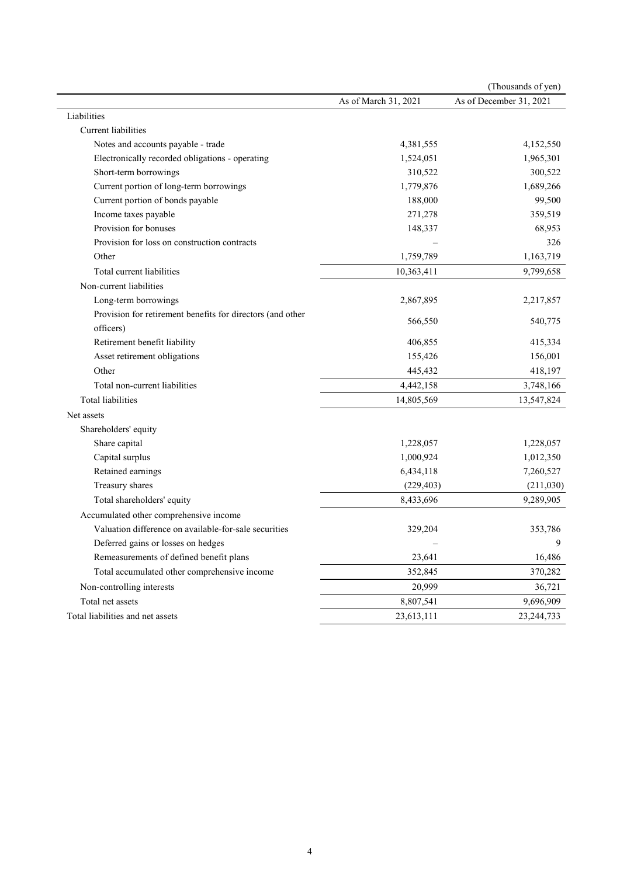|                                                            |                      | (Thousands of yen)      |
|------------------------------------------------------------|----------------------|-------------------------|
|                                                            | As of March 31, 2021 | As of December 31, 2021 |
| Liabilities                                                |                      |                         |
| Current liabilities                                        |                      |                         |
| Notes and accounts payable - trade                         | 4,381,555            | 4,152,550               |
| Electronically recorded obligations - operating            | 1,524,051            | 1,965,301               |
| Short-term borrowings                                      | 310,522              | 300,522                 |
| Current portion of long-term borrowings                    | 1,779,876            | 1,689,266               |
| Current portion of bonds payable                           | 188,000              | 99,500                  |
| Income taxes payable                                       | 271,278              | 359,519                 |
| Provision for bonuses                                      | 148,337              | 68,953                  |
| Provision for loss on construction contracts               |                      | 326                     |
| Other                                                      | 1,759,789            | 1,163,719               |
| Total current liabilities                                  | 10,363,411           | 9,799,658               |
| Non-current liabilities                                    |                      |                         |
| Long-term borrowings                                       | 2,867,895            | 2,217,857               |
| Provision for retirement benefits for directors (and other | 566,550              | 540,775                 |
| officers)                                                  |                      |                         |
| Retirement benefit liability                               | 406,855              | 415,334                 |
| Asset retirement obligations                               | 155,426              | 156,001                 |
| Other                                                      | 445,432              | 418,197                 |
| Total non-current liabilities                              | 4,442,158            | 3,748,166               |
| <b>Total liabilities</b>                                   | 14,805,569           | 13,547,824              |
| Net assets                                                 |                      |                         |
| Shareholders' equity                                       |                      |                         |
| Share capital                                              | 1,228,057            | 1,228,057               |
| Capital surplus                                            | 1,000,924            | 1,012,350               |
| Retained earnings                                          | 6,434,118            | 7,260,527               |
| Treasury shares                                            | (229, 403)           | (211,030)               |
| Total shareholders' equity                                 | 8,433,696            | 9,289,905               |
| Accumulated other comprehensive income                     |                      |                         |
| Valuation difference on available-for-sale securities      | 329,204              | 353,786                 |
| Deferred gains or losses on hedges                         |                      | 9                       |
| Remeasurements of defined benefit plans                    | 23,641               | 16,486                  |
| Total accumulated other comprehensive income               | 352,845              | 370,282                 |
| Non-controlling interests                                  | 20,999               | 36,721                  |
| Total net assets                                           | 8,807,541            | 9,696,909               |
| Total liabilities and net assets                           | 23,613,111           | 23, 244, 733            |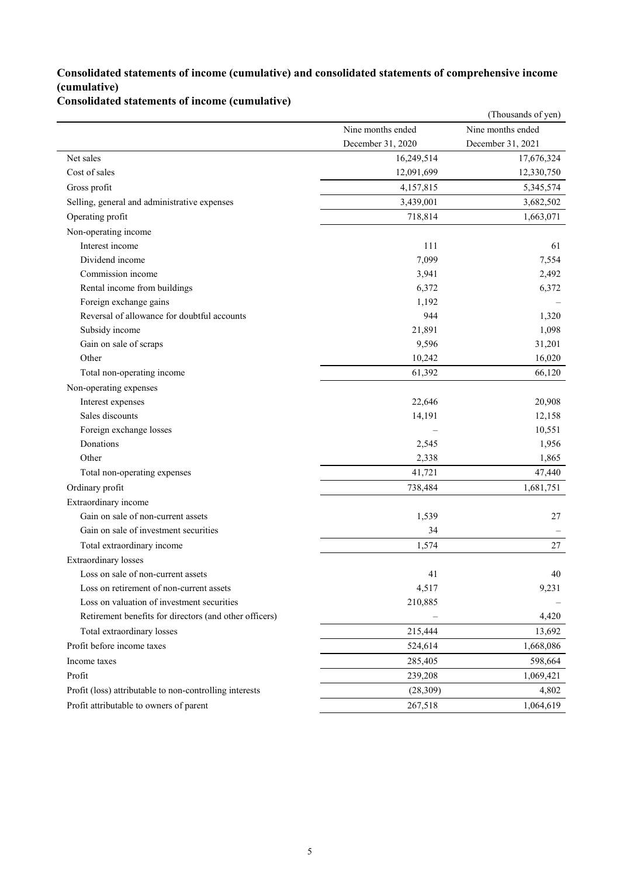### **Consolidated statements of income (cumulative) and consolidated statements of comprehensive income (cumulative)**

**Consolidated statements of income (cumulative)**

|                                                         |                   | (Thousands of yen) |
|---------------------------------------------------------|-------------------|--------------------|
|                                                         | Nine months ended | Nine months ended  |
|                                                         | December 31, 2020 | December 31, 2021  |
| Net sales                                               | 16,249,514        | 17,676,324         |
| Cost of sales                                           | 12,091,699        | 12,330,750         |
| Gross profit                                            | 4,157,815         | 5,345,574          |
| Selling, general and administrative expenses            | 3,439,001         | 3,682,502          |
| Operating profit                                        | 718,814           | 1,663,071          |
| Non-operating income                                    |                   |                    |
| Interest income                                         | 111               | 61                 |
| Dividend income                                         | 7,099             | 7,554              |
| Commission income                                       | 3,941             | 2,492              |
| Rental income from buildings                            | 6,372             | 6,372              |
| Foreign exchange gains                                  | 1,192             |                    |
| Reversal of allowance for doubtful accounts             | 944               | 1,320              |
| Subsidy income                                          | 21,891            | 1,098              |
| Gain on sale of scraps                                  | 9,596             | 31,201             |
| Other                                                   | 10,242            | 16,020             |
| Total non-operating income                              | 61,392            | 66,120             |
| Non-operating expenses                                  |                   |                    |
| Interest expenses                                       | 22,646            | 20,908             |
| Sales discounts                                         | 14,191            | 12,158             |
| Foreign exchange losses                                 |                   | 10,551             |
| Donations                                               | 2,545             | 1,956              |
| Other                                                   | 2,338             | 1,865              |
| Total non-operating expenses                            | 41,721            | 47,440             |
| Ordinary profit                                         | 738,484           | 1,681,751          |
| Extraordinary income                                    |                   |                    |
| Gain on sale of non-current assets                      | 1,539             | 27                 |
| Gain on sale of investment securities                   | 34                |                    |
| Total extraordinary income                              | 1,574             | 27                 |
| <b>Extraordinary</b> losses                             |                   |                    |
| Loss on sale of non-current assets                      | 41                | 40                 |
| Loss on retirement of non-current assets                | 4,517             | 9,231              |
| Loss on valuation of investment securities              | 210,885           |                    |
| Retirement benefits for directors (and other officers)  |                   | 4,420              |
| Total extraordinary losses                              | 215,444           | 13,692             |
| Profit before income taxes                              | 524,614           | 1,668,086          |
| Income taxes                                            | 285,405           | 598,664            |
| Profit                                                  | 239,208           | 1,069,421          |
| Profit (loss) attributable to non-controlling interests | (28,309)          | 4,802              |
| Profit attributable to owners of parent                 | 267,518           | 1,064,619          |